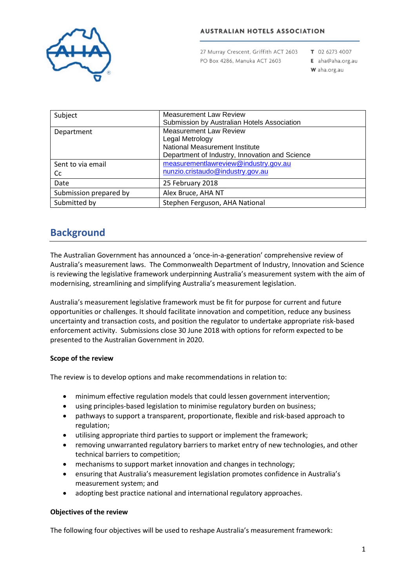

# **AUSTRALIAN HOTELS ASSOCIATION**

27 Murray Crescent, Griffith ACT 2603 PO Box 4286, Manuka ACT 2603

T 02 6273 4007

E aha@aha.org.au W aha.org.au

| Subject                 | <b>Measurement Law Review</b><br>Submission by Australian Hotels Association                                                         |
|-------------------------|--------------------------------------------------------------------------------------------------------------------------------------|
| Department              | <b>Measurement Law Review</b><br>Legal Metrology<br>National Measurement Institute<br>Department of Industry, Innovation and Science |
| Sent to via email<br>Cc | measurementlawreview@industry.gov.au<br>nunzio.cristaudo@industry.gov.au                                                             |
| Date                    | 25 February 2018                                                                                                                     |
| Submission prepared by  | Alex Bruce, AHA NT                                                                                                                   |
| Submitted by            | Stephen Ferguson, AHA National                                                                                                       |

# **Background**

The Australian Government has announced a 'once-in-a-generation' comprehensive review of Australia's measurement laws. The Commonwealth Department of Industry, Innovation and Science is reviewing the legislative framework underpinning Australia's measurement system with the aim of modernising, streamlining and simplifying Australia's measurement legislation.

Australia's measurement legislative framework must be fit for purpose for current and future opportunities or challenges. It should facilitate innovation and competition, reduce any business uncertainty and transaction costs, and position the regulator to undertake appropriate risk-based enforcement activity. Submissions close 30 June 2018 with options for reform expected to be presented to the Australian Government in 2020.

# **Scope of the review**

The review is to develop options and make recommendations in relation to:

- minimum effective regulation models that could lessen government intervention;
- using principles-based legislation to minimise regulatory burden on business;
- pathways to support a transparent, proportionate, flexible and risk-based approach to regulation;
- utilising appropriate third parties to support or implement the framework;
- removing unwarranted regulatory barriers to market entry of new technologies, and other technical barriers to competition;
- mechanisms to support market innovation and changes in technology;
- ensuring that Australia's measurement legislation promotes confidence in Australia's measurement system; and
- adopting best practice national and international regulatory approaches.

# **Objectives of the review**

The following four objectives will be used to reshape Australia's measurement framework: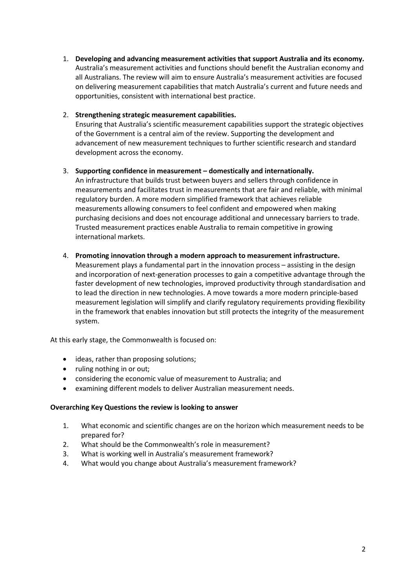1. **Developing and advancing measurement activities that support Australia and its economy.** Australia's measurement activities and functions should benefit the Australian economy and all Australians. The review will aim to ensure Australia's measurement activities are focused on delivering measurement capabilities that match Australia's current and future needs and opportunities, consistent with international best practice.

# 2. **Strengthening strategic measurement capabilities.**

Ensuring that Australia's scientific measurement capabilities support the strategic objectives of the Government is a central aim of the review. Supporting the development and advancement of new measurement techniques to further scientific research and standard development across the economy.

# 3. **Supporting confidence in measurement – domestically and internationally.**

An infrastructure that builds trust between buyers and sellers through confidence in measurements and facilitates trust in measurements that are fair and reliable, with minimal regulatory burden. A more modern simplified framework that achieves reliable measurements allowing consumers to feel confident and empowered when making purchasing decisions and does not encourage additional and unnecessary barriers to trade. Trusted measurement practices enable Australia to remain competitive in growing international markets.

### 4. **Promoting innovation through a modern approach to measurement infrastructure.**

Measurement plays a fundamental part in the innovation process – assisting in the design and incorporation of next-generation processes to gain a competitive advantage through the faster development of new technologies, improved productivity through standardisation and to lead the direction in new technologies. A move towards a more modern principle-based measurement legislation will simplify and clarify regulatory requirements providing flexibility in the framework that enables innovation but still protects the integrity of the measurement system.

At this early stage, the Commonwealth is focused on:

- ideas, rather than proposing solutions;
- ruling nothing in or out;
- considering the economic value of measurement to Australia; and
- examining different models to deliver Australian measurement needs.

### **Overarching Key Questions the review is looking to answer**

- 1. What economic and scientific changes are on the horizon which measurement needs to be prepared for?
- 2. What should be the Commonwealth's role in measurement?
- 3. What is working well in Australia's measurement framework?
- 4. What would you change about Australia's measurement framework?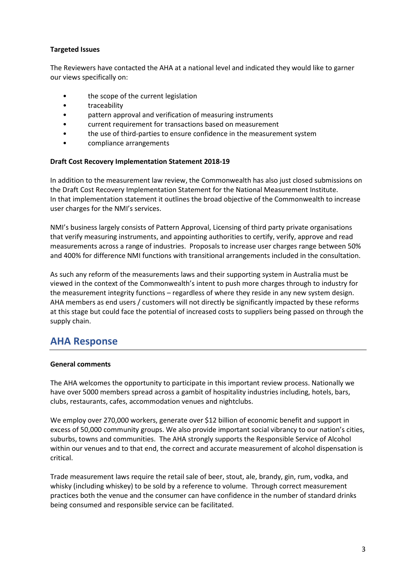# **Targeted Issues**

The Reviewers have contacted the AHA at a national level and indicated they would like to garner our views specifically on:

- the scope of the current legislation
- traceability
- pattern approval and verification of measuring instruments
- current requirement for transactions based on measurement
- the use of third-parties to ensure confidence in the measurement system
- compliance arrangements

### **Draft Cost Recovery Implementation Statement 2018-19**

In addition to the measurement law review, the Commonwealth has also just closed submissions on the Draft Cost Recovery Implementation Statement for the National Measurement Institute. In that implementation statement it outlines the broad objective of the Commonwealth to increase user charges for the NMI's services.

NMI's business largely consists of Pattern Approval, Licensing of third party private organisations that verify measuring instruments, and appointing authorities to certify, verify, approve and read measurements across a range of industries. Proposals to increase user charges range between 50% and 400% for difference NMI functions with transitional arrangements included in the consultation.

As such any reform of the measurements laws and their supporting system in Australia must be viewed in the context of the Commonwealth's intent to push more charges through to industry for the measurement integrity functions – regardless of where they reside in any new system design. AHA members as end users / customers will not directly be significantly impacted by these reforms at this stage but could face the potential of increased costs to suppliers being passed on through the supply chain.

# **AHA Response**

### **General comments**

The AHA welcomes the opportunity to participate in this important review process. Nationally we have over 5000 members spread across a gambit of hospitality industries including, hotels, bars, clubs, restaurants, cafes, accommodation venues and nightclubs.

We employ over 270,000 workers, generate over \$12 billion of economic benefit and support in excess of 50,000 community groups. We also provide important social vibrancy to our nation's cities, suburbs, towns and communities. The AHA strongly supports the Responsible Service of Alcohol within our venues and to that end, the correct and accurate measurement of alcohol dispensation is critical.

Trade measurement laws require the retail sale of beer, stout, ale, brandy, gin, rum, vodka, and whisky (including whiskey) to be sold by a reference to volume. Through correct measurement practices both the venue and the consumer can have confidence in the number of standard drinks being consumed and responsible service can be facilitated.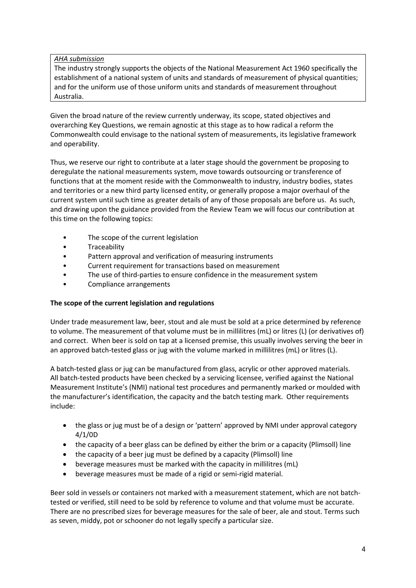# *AHA submission*

The industry strongly supports the objects of the National Measurement Act 1960 specifically the establishment of a national system of units and standards of measurement of physical quantities; and for the uniform use of those uniform units and standards of measurement throughout Australia.

Given the broad nature of the review currently underway, its scope, stated objectives and overarching Key Questions, we remain agnostic at this stage as to how radical a reform the Commonwealth could envisage to the national system of measurements, its legislative framework and operability.

Thus, we reserve our right to contribute at a later stage should the government be proposing to deregulate the national measurements system, move towards outsourcing or transference of functions that at the moment reside with the Commonwealth to industry, industry bodies, states and territories or a new third party licensed entity, or generally propose a major overhaul of the current system until such time as greater details of any of those proposals are before us. As such, and drawing upon the guidance provided from the Review Team we will focus our contribution at this time on the following topics:

- The scope of the current legislation
- Traceability
- Pattern approval and verification of measuring instruments
- Current requirement for transactions based on measurement
- The use of third-parties to ensure confidence in the measurement system
- Compliance arrangements

# **The scope of the current legislation and regulations**

Under trade measurement law, beer, stout and ale must be sold at a price determined by reference to volume. The measurement of that volume must be in millilitres (mL) or litres (L) (or derivatives of) and correct. When beer is sold on tap at a licensed premise, this usually involves serving the beer in an approved batch-tested glass or jug with the volume marked in millilitres (mL) or litres (L).

A batch-tested glass or jug can be manufactured from glass, acrylic or other approved materials. All batch-tested products have been checked by a servicing licensee, verified against the National Measurement Institute's (NMI) national test procedures and permanently marked or moulded with the manufacturer's identification, the capacity and the batch testing mark. Other requirements include:

- the glass or jug must be of a design or 'pattern' approved by NMI under approval category 4/1/0D
- the capacity of a beer glass can be defined by either the brim or a capacity (Plimsoll) line
- the capacity of a beer jug must be defined by a capacity (Plimsoll) line
- beverage measures must be marked with the capacity in millilitres (mL)
- beverage measures must be made of a rigid or semi-rigid material.

Beer sold in vessels or containers not marked with a measurement statement, which are not batchtested or verified, still need to be sold by reference to volume and that volume must be accurate. There are no prescribed sizes for beverage measures for the sale of beer, ale and stout. Terms such as seven, middy, pot or schooner do not legally specify a particular size.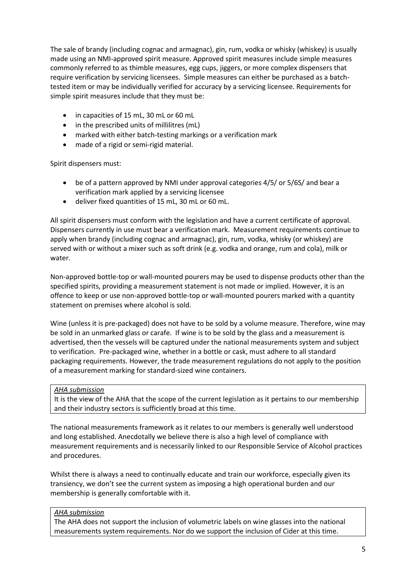The sale of brandy (including cognac and armagnac), gin, rum, vodka or whisky (whiskey) is usually made using an NMI-approved spirit measure. Approved spirit measures include simple measures commonly referred to as thimble measures, egg cups, jiggers, or more complex dispensers that require verification by servicing licensees. Simple measures can either be purchased as a batchtested item or may be individually verified for accuracy by a servicing licensee. Requirements for simple spirit measures include that they must be:

- in capacities of 15 mL, 30 mL or 60 mL
- in the prescribed units of millilitres (mL)
- marked with either batch-testing markings or a verification mark
- made of a rigid or semi-rigid material.

Spirit dispensers must:

- be of a pattern approved by NMI under approval categories 4/5/ or 5/6S/ and bear a verification mark applied by a servicing licensee
- deliver fixed quantities of 15 mL, 30 mL or 60 mL.

All spirit dispensers must conform with the legislation and have a current certificate of approval. Dispensers currently in use must bear a verification mark. Measurement requirements continue to apply when brandy (including cognac and armagnac), gin, rum, vodka, whisky (or whiskey) are served with or without a mixer such as soft drink (e.g. vodka and orange, rum and cola), milk or water.

Non-approved bottle-top or wall-mounted pourers may be used to dispense products other than the specified spirits, providing a measurement statement is not made or implied. However, it is an offence to keep or use non-approved bottle-top or wall-mounted pourers marked with a quantity statement on premises where alcohol is sold.

Wine (unless it is pre-packaged) does not have to be sold by a volume measure. Therefore, wine may be sold in an unmarked glass or carafe. If wine is to be sold by the glass and a measurement is advertised, then the vessels will be captured under the national measurements system and subject to verification. Pre-packaged wine, whether in a bottle or cask, must adhere to all standard packaging requirements. However, the trade measurement regulations do not apply to the position of a measurement marking for standard-sized wine containers.

#### *AHA submission*

It is the view of the AHA that the scope of the current legislation as it pertains to our membership and their industry sectors is sufficiently broad at this time.

The national measurements framework as it relates to our members is generally well understood and long established. Anecdotally we believe there is also a high level of compliance with measurement requirements and is necessarily linked to our Responsible Service of Alcohol practices and procedures.

Whilst there is always a need to continually educate and train our workforce, especially given its transiency, we don't see the current system as imposing a high operational burden and our membership is generally comfortable with it.

### *AHA submission*

The AHA does not support the inclusion of volumetric labels on wine glasses into the national measurements system requirements. Nor do we support the inclusion of Cider at this time.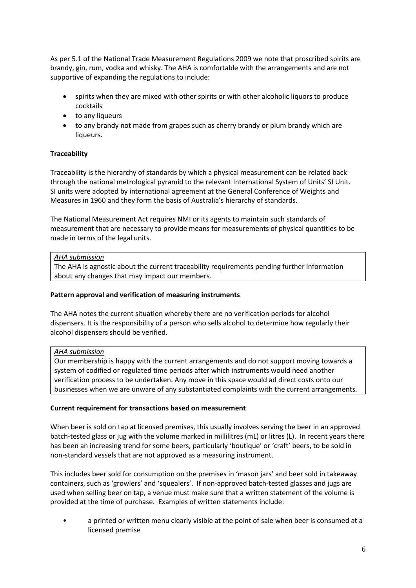As per 5.1 of the National Trade Measurement Regulations 2009 we note that proscribed spirits are brandy, gin, rum, vodka and whisky. The AHA is comfortable with the arrangements and are not supportive of expanding the regulations to include:

- spirits when they are mixed with other spirits or with other alcoholic liquors to produce cocktails
- to any liqueurs
- to any brandy not made from grapes such as cherry brandy or plum brandy which are liqueurs.

# **Traceability**

Traceability is the hierarchy of standards by which a physical measurement can be related back through the national metrological pyramid to the relevant International System of Units' SI Unit. SI units were adopted by international agreement at the General Conference of Weights and Measures in 1960 and they form the basis of Australia's hierarchy of standards.

The National Measurement Act requires NMI or its agents to maintain such standards of measurement that are necessary to provide means for measurements of physical quantities to be made in terms of the legal units.

# *AHA submission*

The AHA is agnostic about the current traceability requirements pending further information about any changes that may impact our members.

# **Pattern approval and verification of measuring instruments**

The AHA notes the current situation whereby there are no verification periods for alcohol dispensers. It is the responsibility of a person who sells alcohol to determine how regularly their alcohol dispensers should be verified.

# *AHA submission*

Our membership is happy with the current arrangements and do not support moving towards a system of codified or regulated time periods after which instruments would need another verification process to be undertaken. Any move in this space would ad direct costs onto our businesses when we are unware of any substantiated complaints with the current arrangements.

# **Current requirement for transactions based on measurement**

When beer is sold on tap at licensed premises, this usually involves serving the beer in an approved batch-tested glass or jug with the volume marked in millilitres (mL) or litres (L). In recent years there has been an increasing trend for some beers, particularly 'boutique' or 'craft' beers, to be sold in non-standard vessels that are not approved as a measuring instrument.

This includes beer sold for consumption on the premises in 'mason jars' and beer sold in takeaway containers, such as 'growlers' and 'squealers'. If non-approved batch-tested glasses and jugs are used when selling beer on tap, a venue must make sure that a written statement of the volume is provided at the time of purchase. Examples of written statements include:

• a printed or written menu clearly visible at the point of sale when beer is consumed at a licensed premise